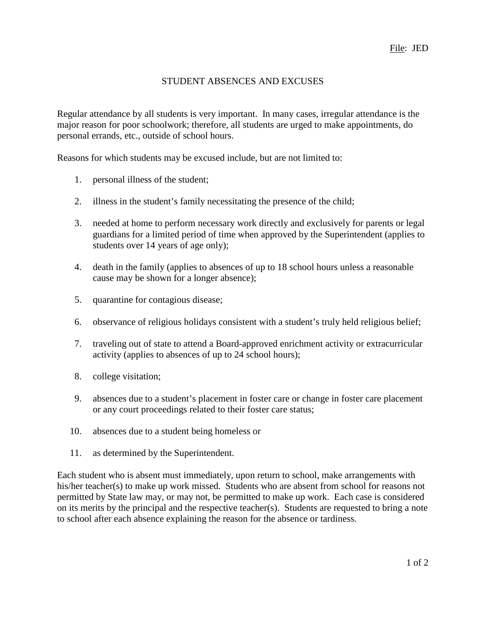## STUDENT ABSENCES AND EXCUSES

Regular attendance by all students is very important. In many cases, irregular attendance is the major reason for poor schoolwork; therefore, all students are urged to make appointments, do personal errands, etc., outside of school hours.

Reasons for which students may be excused include, but are not limited to:

- 1. personal illness of the student;
- 2. illness in the student's family necessitating the presence of the child;
- 3. needed at home to perform necessary work directly and exclusively for parents or legal guardians for a limited period of time when approved by the Superintendent (applies to students over 14 years of age only);
- 4. death in the family (applies to absences of up to 18 school hours unless a reasonable cause may be shown for a longer absence);
- 5. quarantine for contagious disease;
- 6. observance of religious holidays consistent with a student's truly held religious belief;
- 7. traveling out of state to attend a Board-approved enrichment activity or extracurricular activity (applies to absences of up to 24 school hours);
- 8. college visitation;
- 9. absences due to a student's placement in foster care or change in foster care placement or any court proceedings related to their foster care status;
- 10. absences due to a student being homeless or
- 11. as determined by the Superintendent.

Each student who is absent must immediately, upon return to school, make arrangements with his/her teacher(s) to make up work missed. Students who are absent from school for reasons not permitted by State law may, or may not, be permitted to make up work. Each case is considered on its merits by the principal and the respective teacher(s). Students are requested to bring a note to school after each absence explaining the reason for the absence or tardiness.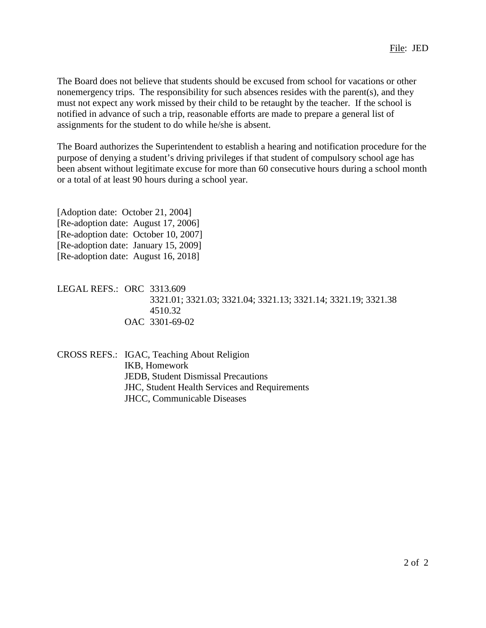The Board does not believe that students should be excused from school for vacations or other nonemergency trips. The responsibility for such absences resides with the parent(s), and they must not expect any work missed by their child to be retaught by the teacher. If the school is notified in advance of such a trip, reasonable efforts are made to prepare a general list of assignments for the student to do while he/she is absent.

The Board authorizes the Superintendent to establish a hearing and notification procedure for the purpose of denying a student's driving privileges if that student of compulsory school age has been absent without legitimate excuse for more than 60 consecutive hours during a school month or a total of at least 90 hours during a school year.

[Adoption date: October 21, 2004] [Re-adoption date: August 17, 2006] [Re-adoption date: October 10, 2007] [Re-adoption date: January 15, 2009] [Re-adoption date: August 16, 2018]

LEGAL REFS.: ORC 3313.609 3321.01; 3321.03; 3321.04; 3321.13; 3321.14; 3321.19; 3321.38 4510.32 OAC 3301-69-02

CROSS REFS.: IGAC, Teaching About Religion IKB, Homework JEDB, Student Dismissal Precautions JHC, Student Health Services and Requirements JHCC, Communicable Diseases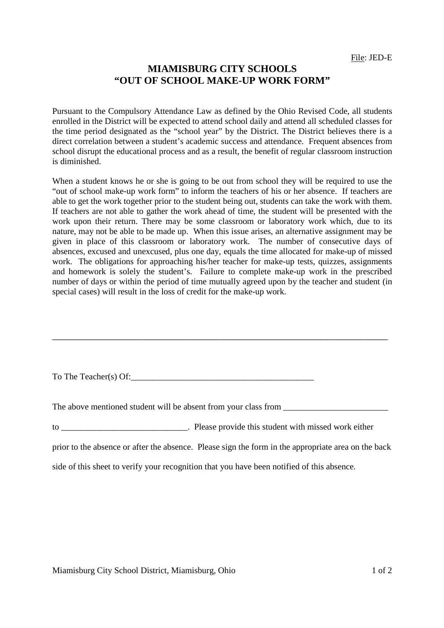## **MIAMISBURG CITY SCHOOLS "OUT OF SCHOOL MAKE-UP WORK FORM"**

Pursuant to the Compulsory Attendance Law as defined by the Ohio Revised Code, all students enrolled in the District will be expected to attend school daily and attend all scheduled classes for the time period designated as the "school year" by the District. The District believes there is a direct correlation between a student's academic success and attendance. Frequent absences from school disrupt the educational process and as a result, the benefit of regular classroom instruction is diminished.

 When a student knows he or she is going to be out from school they will be required to use the "out of school make-up work form" to inform the teachers of his or her absence. If teachers are able to get the work together prior to the student being out, students can take the work with them. If teachers are not able to gather the work ahead of time, the student will be presented with the work upon their return. There may be some classroom or laboratory work which, due to its nature, may not be able to be made up. When this issue arises, an alternative assignment may be given in place of this classroom or laboratory work. The number of consecutive days of absences, excused and unexcused, plus one day, equals the time allocated for make-up of missed work. The obligations for approaching his/her teacher for make-up tests, quizzes, assignments and homework is solely the student's. Failure to complete make-up work in the prescribed number of days or within the period of time mutually agreed upon by the teacher and student (in special cases) will result in the loss of credit for the make-up work.

To The Teacher(s) Of:

The above mentioned student will be absent from your class from \_\_\_\_\_\_\_\_\_\_\_\_\_\_\_\_\_

\_\_\_\_\_\_\_\_\_\_\_\_\_\_\_\_\_\_\_\_\_\_\_\_\_\_\_\_\_\_\_\_\_\_\_\_\_\_\_\_\_\_\_\_\_\_\_\_\_\_\_\_\_\_\_\_\_\_\_\_\_\_\_\_\_\_

to \_\_\_\_\_\_\_\_\_\_\_\_\_\_\_\_\_\_\_\_\_\_\_\_\_\_. Please provide this student with missed work either

prior to the absence or after the absence. Please sign the form in the appropriate area on the back

side of this sheet to verify your recognition that you have been notified of this absence.